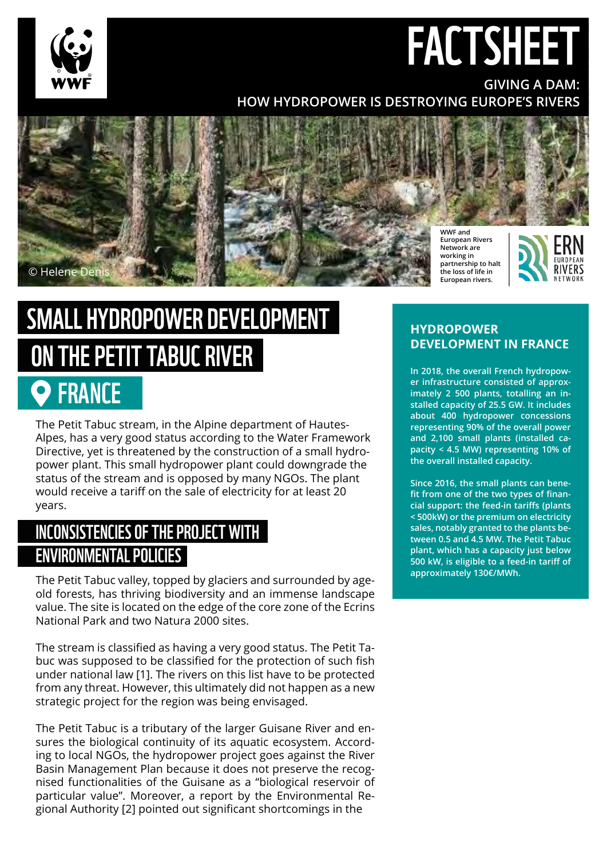

## FACTSHEET **GIVING A DAM:**

### **HOW HYDROPOWER IS DESTROYING EUROPE'S RIVERS**



# SMALL HYDROPOWER DEVELOPMENT ON THE PETIT TABUC RIVER

## FRANCE

The Petit Tabuc stream, in the Alpine department of Hautes-Alpes, has a very good status according to the Water Framework Directive, yet is threatened by the construction of a small hydropower plant. This small hydropower plant could downgrade the status of the stream and is opposed by many NGOs. The plant would receive a tariff on the sale of electricity for at least 20 years.

## INCONSISTENCIES OF THE PROJECT WITH ENVIRONMENTAL POLICIES

The Petit Tabuc valley, topped by glaciers and surrounded by ageold forests, has thriving biodiversity and an immense landscape value. The site is located on the edge of the core zone of the Ecrins National Park and two Natura 2000 sites.

The stream is classified as having a very good status. The Petit Tabuc was supposed to be classified for the protection of such fish under national law [1]. The rivers on this list have to be protected from any threat. However, this ultimately did not happen as a new strategic project for the region was being envisaged.

The Petit Tabuc is a tributary of the larger Guisane River and ensures the biological continuity of its aquatic ecosystem. According to local NGOs, the hydropower project goes against the River Basin Management Plan because it does not preserve the recognised functionalities of the Guisane as a "biological reservoir of particular value". Moreover, a report by the Environmental Regional Authority [2] pointed out significant shortcomings in the

#### **HYDROPOWER DEVELOPMENT IN FRANCE**

**In 2018, the overall French hydropower infrastructure consisted of approximately 2 500 plants, totalling an installed capacity of 25.5 GW. It includes about 400 hydropower concessions representing 90% of the overall power and 2,100 small plants (installed capacity < 4.5 MW) representing 10% of the overall installed capacity.** 

**Since 2016, the small plants can benefit from one of the two types of financial support: the feed-in tariffs (plants < 500kW) or the premium on electricity sales, notably granted to the plants between 0.5 and 4.5 MW. The Petit Tabuc plant, which has a capacity just below 500 kW, is eligible to a feed-in tariff of approximately 130€/MWh.**